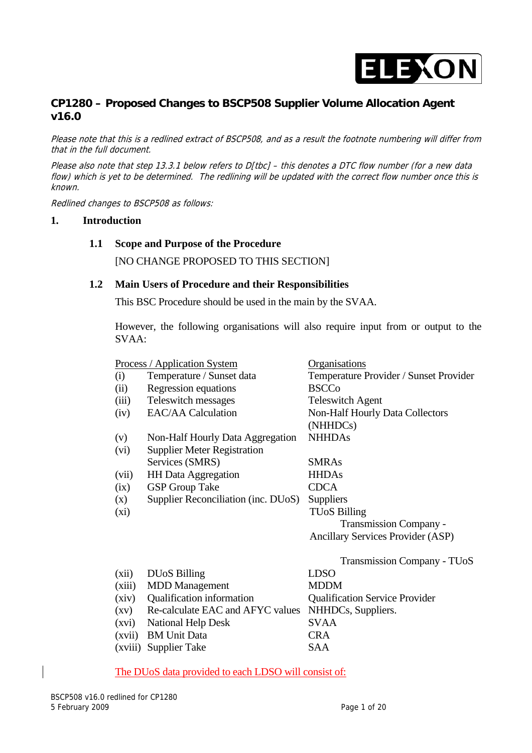

# **CP1280 – Proposed Changes to BSCP508 Supplier Volume Allocation Agent v16.0**

Please note that this is a redlined extract of BSCP508, and as a result the footnote numbering will differ from that in the full document.

Please also note that step 13.3.1 below refers to D[tbc] - this denotes a DTC flow number (for a new data flow) which is yet to be determined. The redlining will be updated with the correct flow number once this is known.

Redlined changes to BSCP508 as follows:

#### **1. Introduction**

#### **1.1 Scope and Purpose of the Procedure**

[NO CHANGE PROPOSED TO THIS SECTION]

#### **1.2 Main Users of Procedure and their Responsibilities**

This BSC Procedure should be used in the main by the SVAA.

However, the following organisations will also require input from or output to the SVAA:

|                    | <u>Process / Application System</u> | <u>Organisations</u>                        |
|--------------------|-------------------------------------|---------------------------------------------|
| (i)                | Temperature / Sunset data           | Temperature Provider / Sunset Provider      |
| (ii)               | Regression equations                | <b>BSCCo</b>                                |
| (iii)              | Teleswitch messages                 | <b>Teleswitch Agent</b>                     |
| (iv)               | <b>EAC/AA Calculation</b>           | Non-Half Hourly Data Collectors<br>(NHHDCs) |
| (v)                | Non-Half Hourly Data Aggregation    | <b>NHHDAs</b>                               |
| (vi)               | <b>Supplier Meter Registration</b>  |                                             |
|                    | Services (SMRS)                     | <b>SMRAs</b>                                |
| (vii)              | <b>HH</b> Data Aggregation          | <b>HHDAs</b>                                |
| (ix)               | <b>GSP</b> Group Take               | <b>CDCA</b>                                 |
| (x)                | Supplier Reconciliation (inc. DUoS) | Suppliers                                   |
| $(x_i)$            |                                     | TUoS Billing                                |
|                    |                                     | <b>Transmission Company -</b>               |
|                    |                                     | <b>Ancillary Services Provider (ASP)</b>    |
|                    |                                     | <b>Transmission Company - TUoS</b>          |
| (xii)              | <b>DU<sub>o</sub>S</b> Billing      | <b>LDSO</b>                                 |
| (xiii)             | <b>MDD</b> Management               | <b>MDDM</b>                                 |
| (xiv)              | Qualification information           | <b>Qualification Service Provider</b>       |
| $\left( xy\right)$ | Re-calculate EAC and AFYC values    | NHHDCs, Suppliers.                          |
| (xvi)              | <b>National Help Desk</b>           | <b>SVAA</b>                                 |
| (xvii)             | <b>BM</b> Unit Data                 | <b>CRA</b>                                  |
| (xviii)            | <b>Supplier Take</b>                | <b>SAA</b>                                  |

#### The DUoS data provided to each LDSO will consist of: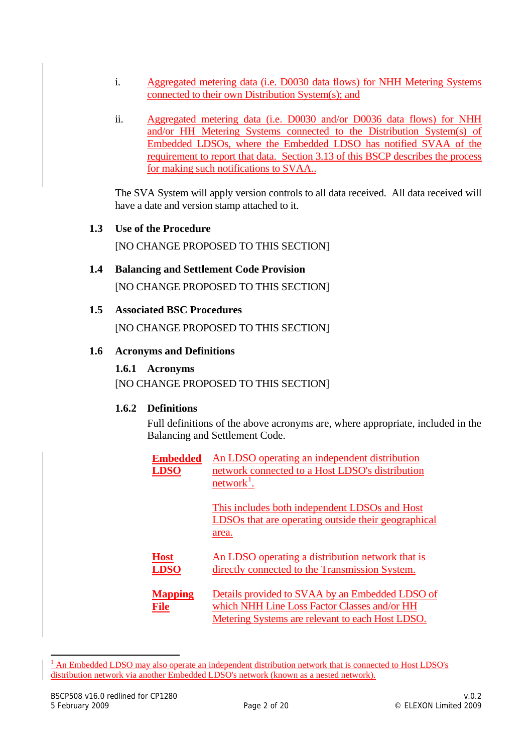- i. Aggregated metering data (i.e. D0030 data flows) for NHH Metering Systems connected to their own Distribution System(s); and
- ii. Aggregated metering data (i.e. D0030 and/or D0036 data flows) for NHH and/or HH Metering Systems connected to the Distribution System(s) of Embedded LDSOs, where the Embedded LDSO has notified SVAA of the requirement to report that data. Section 3.13 of this BSCP describes the process for making such notifications to SVAA..

The SVA System will apply version controls to all data received. All data received will have a date and version stamp attached to it.

**1.3 Use of the Procedure** 

[NO CHANGE PROPOSED TO THIS SECTION]

**1.4 Balancing and Settlement Code Provision**  [NO CHANGE PROPOSED TO THIS SECTION]

# **1.5 Associated BSC Procedures**

[NO CHANGE PROPOSED TO THIS SECTION]

#### **1.6 Acronyms and Definitions**

#### **1.6.1 Acronyms**

[NO CHANGE PROPOSED TO THIS SECTION]

### **1.6.2 Definitions**

Full definitions of the above acronyms are, where appropriate, included in the Balancing and Settlement Code.

| <b>Embedded</b><br><b>LDSO</b> | An LDSO operating an independent distribution<br>network connected to a Host LDSO's distribution<br>network <sup>1</sup> .                          |
|--------------------------------|-----------------------------------------------------------------------------------------------------------------------------------------------------|
|                                | This includes both independent LDSOs and Host<br>LDSOs that are operating outside their geographical<br>area.                                       |
| <b>Host</b><br><b>LDSO</b>     | <u>An LDSO operating a distribution network that is</u><br>directly connected to the Transmission System.                                           |
| <b>Mapping</b><br>File         | Details provided to SVAA by an Embedded LDSO of<br>which NHH Line Loss Factor Classes and/or HH<br>Metering Systems are relevant to each Host LDSO. |

<span id="page-1-0"></span><sup>&</sup>lt;sup>1</sup> An Embedded LDSO may also operate an independent distribution network that is connected to Host LDSO's distribution network via another Embedded LDSO's network (known as a nested network).

-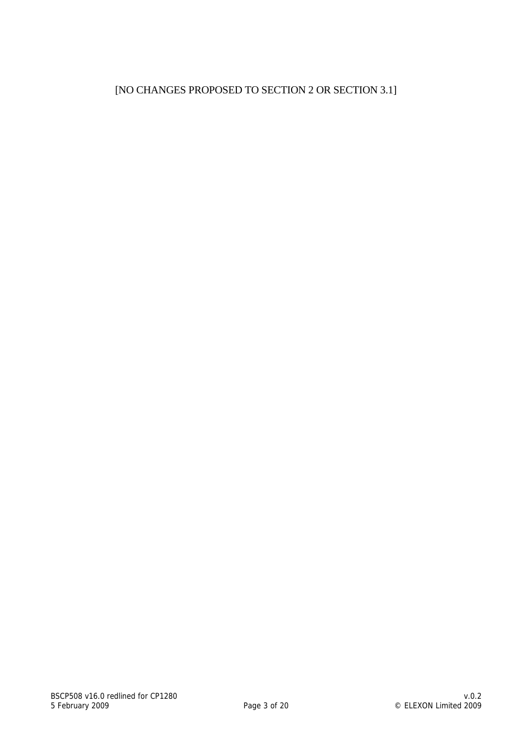# [NO CHANGES PROPOSED TO SECTION 2 OR SECTION 3.1]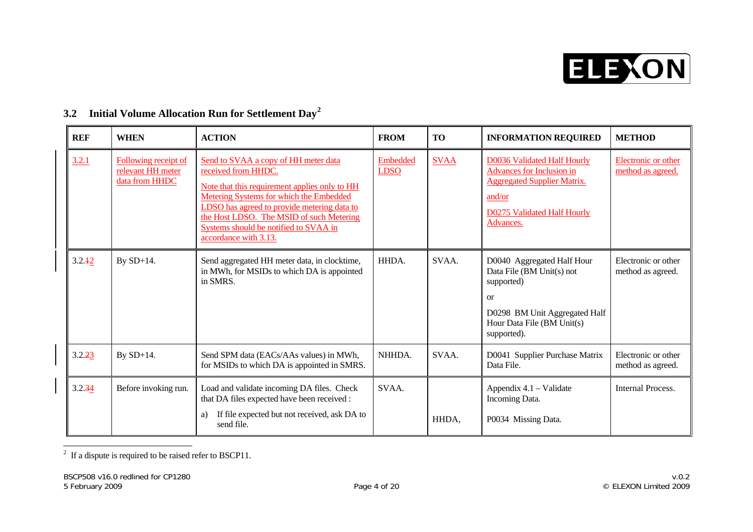

| <b>REF</b> | <b>WHEN</b>                                                 | <b>ACTION</b>                                                                                                                                                                                                                                                                                                        | <b>FROM</b>             | <b>TO</b>   | <b>INFORMATION REQUIRED</b>                                                                                                                                          | <b>METHOD</b>                            |
|------------|-------------------------------------------------------------|----------------------------------------------------------------------------------------------------------------------------------------------------------------------------------------------------------------------------------------------------------------------------------------------------------------------|-------------------------|-------------|----------------------------------------------------------------------------------------------------------------------------------------------------------------------|------------------------------------------|
| 3.2.1      | Following receipt of<br>relevant HH meter<br>data from HHDC | Send to SVAA a copy of HH meter data<br>received from HHDC.<br>Note that this requirement applies only to HH<br>Metering Systems for which the Embedded<br>LDSO has agreed to provide metering data to<br>the Host LDSO. The MSID of such Metering<br>Systems should be notified to SVAA in<br>accordance with 3.13. | Embedded<br><b>LDSO</b> | <b>SVAA</b> | <b>D0036 Validated Half Hourly</b><br><b>Advances for Inclusion in</b><br><b>Aggregated Supplier Matrix.</b><br>and/or<br>D0275 Validated Half Hourly<br>Advances.   | Electronic or other<br>method as agreed. |
| 3.2.42     | By SD+14.                                                   | Send aggregated HH meter data, in clocktime,<br>in MWh, for MSIDs to which DA is appointed<br>in SMRS.                                                                                                                                                                                                               | HHDA.                   | SVAA.       | D0040 Aggregated Half Hour<br>Data File (BM Unit(s) not<br>supported)<br><sub>or</sub><br>D0298 BM Unit Aggregated Half<br>Hour Data File (BM Unit(s)<br>supported). | Electronic or other<br>method as agreed. |
| 3.2.23     | By $SD+14$ .                                                | Send SPM data (EACs/AAs values) in MWh,<br>for MSIDs to which DA is appointed in SMRS.                                                                                                                                                                                                                               | NHHDA.                  | SVAA.       | D0041 Supplier Purchase Matrix<br>Data File.                                                                                                                         | Electronic or other<br>method as agreed. |
| 3.2.34     | Before invoking run.                                        | Load and validate incoming DA files. Check<br>that DA files expected have been received :<br>If file expected but not received, ask DA to<br>a)<br>send file.                                                                                                                                                        | SVAA.                   | HHDA,       | Appendix 4.1 – Validate<br>Incoming Data.<br>P0034 Missing Data.                                                                                                     | Internal Process.                        |

# **3.2 Initial Volume Allocation Run for Settlement Day[2](#page-3-0)**

<span id="page-3-0"></span> $\overline{a}$  If a dispute is required to be raised refer to BSCP11.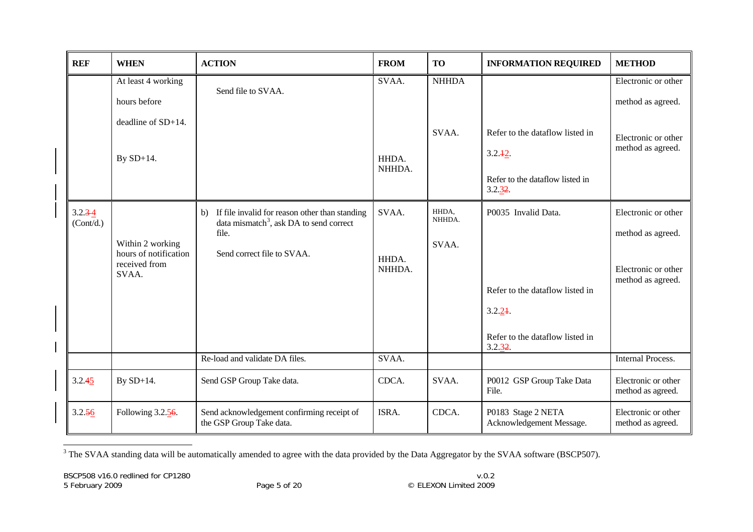| <b>REF</b>               | <b>WHEN</b>                                                         | <b>ACTION</b>                                                                                                                                      | <b>FROM</b>              | <b>TO</b>                | <b>INFORMATION REQUIRED</b>                                                                                    | <b>METHOD</b>                                                                        |
|--------------------------|---------------------------------------------------------------------|----------------------------------------------------------------------------------------------------------------------------------------------------|--------------------------|--------------------------|----------------------------------------------------------------------------------------------------------------|--------------------------------------------------------------------------------------|
|                          | At least 4 working<br>hours before                                  | Send file to SVAA.                                                                                                                                 | SVAA.                    | <b>NHHDA</b>             |                                                                                                                | Electronic or other<br>method as agreed.                                             |
|                          | deadline of SD+14.<br>By $SD+14$ .                                  |                                                                                                                                                    | HHDA.<br>NHHDA.          | SVAA.                    | Refer to the dataflow listed in<br>3.2.12<br>Refer to the dataflow listed in<br>3.2.32.                        | Electronic or other<br>method as agreed.                                             |
| $3.2.3 - 4$<br>(Cont/d.) | Within 2 working<br>hours of notification<br>received from<br>SVAA. | If file invalid for reason other than standing<br>b)<br>data mismatch <sup>3</sup> , ask DA to send correct<br>file.<br>Send correct file to SVAA. | SVAA.<br>HHDA.<br>NHHDA. | HHDA,<br>NHHDA.<br>SVAA. | P0035 Invalid Data.<br>Refer to the dataflow listed in<br>3.2.24<br>Refer to the dataflow listed in<br>3.2.32. | Electronic or other<br>method as agreed.<br>Electronic or other<br>method as agreed. |
|                          |                                                                     | Re-load and validate DA files.                                                                                                                     | SVAA.                    |                          |                                                                                                                | <b>Internal Process.</b>                                                             |
| 3.2.45                   | By SD+14.                                                           | Send GSP Group Take data.                                                                                                                          | CDCA.                    | SVAA.                    | P0012 GSP Group Take Data<br>File.                                                                             | Electronic or other<br>method as agreed.                                             |
| 3.2.56                   | Following $3.2.56$ .                                                | Send acknowledgement confirming receipt of<br>the GSP Group Take data.                                                                             | ISRA.                    | CDCA.                    | P0183 Stage 2 NETA<br>Acknowledgement Message.                                                                 | Electronic or other<br>method as agreed.                                             |

<span id="page-4-0"></span><sup>&</sup>lt;sup>3</sup> The SVAA standing data will be automatically amended to agree with the data provided by the Data Aggregator by the SVAA software (BSCP507).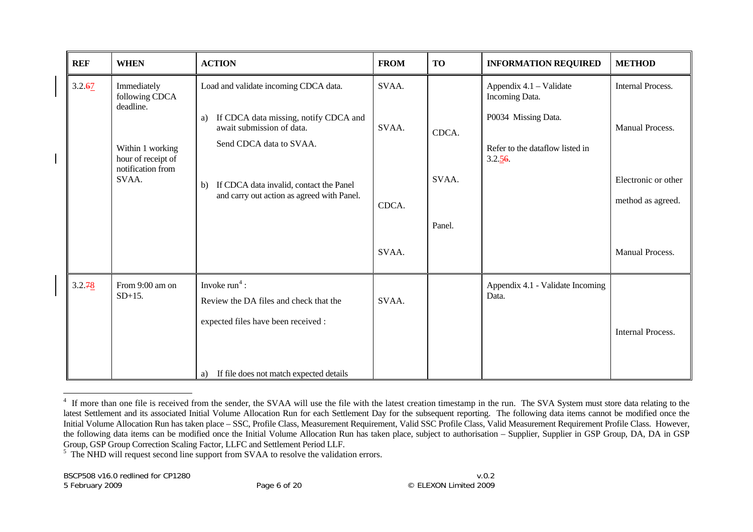| <b>REF</b> | <b>WHEN</b>                                                                                                        | <b>ACTION</b>                                                                                                                                                                                                                               | <b>FROM</b>             | <b>TO</b>                | <b>INFORMATION REQUIRED</b>                                                                                   | <b>METHOD</b>                                                                           |
|------------|--------------------------------------------------------------------------------------------------------------------|---------------------------------------------------------------------------------------------------------------------------------------------------------------------------------------------------------------------------------------------|-------------------------|--------------------------|---------------------------------------------------------------------------------------------------------------|-----------------------------------------------------------------------------------------|
| 3.2.67     | Immediately<br>following CDCA<br>deadline.<br>Within 1 working<br>hour of receipt of<br>notification from<br>SVAA. | Load and validate incoming CDCA data.<br>If CDCA data missing, notify CDCA and<br>a)<br>await submission of data.<br>Send CDCA data to SVAA.<br>If CDCA data invalid, contact the Panel<br>b)<br>and carry out action as agreed with Panel. | SVAA.<br>SVAA.<br>CDCA. | CDCA.<br>SVAA.<br>Panel. | Appendix 4.1 – Validate<br>Incoming Data.<br>P0034 Missing Data.<br>Refer to the dataflow listed in<br>3.2.56 | <b>Internal Process.</b><br>Manual Process.<br>Electronic or other<br>method as agreed. |
|            |                                                                                                                    |                                                                                                                                                                                                                                             | SVAA.                   |                          |                                                                                                               | Manual Process.                                                                         |
| 3.2.78     | From 9:00 am on<br>$SD+15$ .                                                                                       | Invoke $run4$ :<br>Review the DA files and check that the<br>expected files have been received :<br>If file does not match expected details<br>a)                                                                                           | SVAA.                   |                          | Appendix 4.1 - Validate Incoming<br>Data.                                                                     | <b>Internal Process.</b>                                                                |

<span id="page-5-0"></span><sup>&</sup>lt;sup>4</sup> If more than one file is received from the sender, the SVAA will use the file with the latest creation timestamp in the run. The SVA System must store data relating to the latest Settlement and its associated Initial Volume Allocation Run for each Settlement Day for the subsequent reporting. The following data items cannot be modified once the Initial Volume Allocation Run has taken place – SSC, Profile Class, Measurement Requirement, Valid SSC Profile Class, Valid Measurement Requirement Profile Class. However, the following data items can be modified once the Initial Volume Allocation Run has taken place, subject to authorisation – Supplier, Supplier in GSP Group, DA, DA in GSP Group, GSP Group Correction Scaling Factor, LLFC and Settlement Period LLF.

<sup>&</sup>lt;sup>5</sup> The NHD will request second line support from SVAA to resolve the validation errors.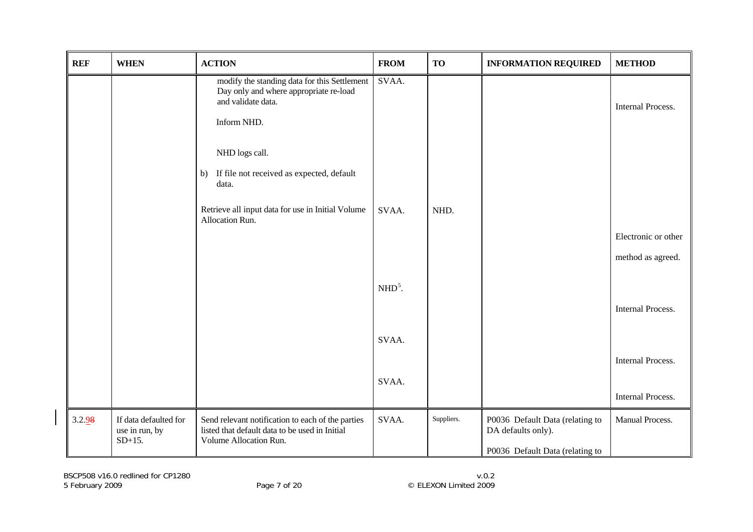<span id="page-6-0"></span>

| <b>REF</b> | <b>WHEN</b>                                          | <b>ACTION</b>                                                                                                                 | <b>FROM</b> | <b>TO</b>  | <b>INFORMATION REQUIRED</b>                           | <b>METHOD</b>            |
|------------|------------------------------------------------------|-------------------------------------------------------------------------------------------------------------------------------|-------------|------------|-------------------------------------------------------|--------------------------|
|            |                                                      | modify the standing data for this Settlement<br>Day only and where appropriate re-load<br>and validate data.                  | SVAA.       |            |                                                       | <b>Internal Process.</b> |
|            |                                                      | Inform NHD.                                                                                                                   |             |            |                                                       |                          |
|            |                                                      | NHD logs call.                                                                                                                |             |            |                                                       |                          |
|            |                                                      | If file not received as expected, default<br>b)<br>data.                                                                      |             |            |                                                       |                          |
|            |                                                      | Retrieve all input data for use in Initial Volume<br>Allocation Run.                                                          | SVAA.       | NHD.       |                                                       |                          |
|            |                                                      |                                                                                                                               |             |            |                                                       | Electronic or other      |
|            |                                                      |                                                                                                                               |             |            |                                                       | method as agreed.        |
|            |                                                      |                                                                                                                               | $NHD5$ .    |            |                                                       |                          |
|            |                                                      |                                                                                                                               |             |            |                                                       | Internal Process.        |
|            |                                                      |                                                                                                                               | SVAA.       |            |                                                       |                          |
|            |                                                      |                                                                                                                               |             |            |                                                       | <b>Internal Process.</b> |
|            |                                                      |                                                                                                                               | SVAA.       |            |                                                       |                          |
|            |                                                      |                                                                                                                               |             |            |                                                       | Internal Process.        |
| 3.2.98     | If data defaulted for<br>use in run, by<br>$SD+15$ . | Send relevant notification to each of the parties<br>listed that default data to be used in Initial<br>Volume Allocation Run. | SVAA.       | Suppliers. | P0036 Default Data (relating to<br>DA defaults only). | Manual Process.          |
|            |                                                      |                                                                                                                               |             |            | P0036 Default Data (relating to                       |                          |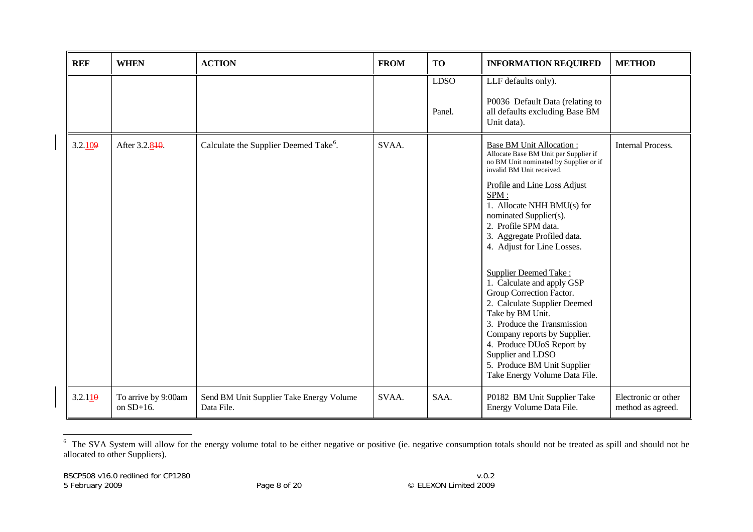| <b>REF</b> | <b>WHEN</b>                         | <b>ACTION</b>                                          | <b>FROM</b> | <b>TO</b>             | <b>INFORMATION REQUIRED</b>                                                                                                                                                                                                                                                                                                                                                                                                                                                                                                                                                                                                                                         | <b>METHOD</b>                            |
|------------|-------------------------------------|--------------------------------------------------------|-------------|-----------------------|---------------------------------------------------------------------------------------------------------------------------------------------------------------------------------------------------------------------------------------------------------------------------------------------------------------------------------------------------------------------------------------------------------------------------------------------------------------------------------------------------------------------------------------------------------------------------------------------------------------------------------------------------------------------|------------------------------------------|
|            |                                     |                                                        |             | <b>LDSO</b><br>Panel. | LLF defaults only).<br>P0036 Default Data (relating to<br>all defaults excluding Base BM<br>Unit data).                                                                                                                                                                                                                                                                                                                                                                                                                                                                                                                                                             |                                          |
| 3.2.109    | After 3.2.840.                      | Calculate the Supplier Deemed Take <sup>6</sup> .      | SVAA.       |                       | <b>Base BM Unit Allocation:</b><br>Allocate Base BM Unit per Supplier if<br>no BM Unit nominated by Supplier or if<br>invalid BM Unit received.<br>Profile and Line Loss Adjust<br>SPM:<br>1. Allocate NHH BMU(s) for<br>nominated Supplier(s).<br>2. Profile SPM data.<br>3. Aggregate Profiled data.<br>4. Adjust for Line Losses.<br><b>Supplier Deemed Take:</b><br>1. Calculate and apply GSP<br>Group Correction Factor.<br>2. Calculate Supplier Deemed<br>Take by BM Unit.<br>3. Produce the Transmission<br>Company reports by Supplier.<br>4. Produce DUoS Report by<br>Supplier and LDSO<br>5. Produce BM Unit Supplier<br>Take Energy Volume Data File. | Internal Process.                        |
| 3.2.110    | To arrive by 9:00am<br>on $SD+16$ . | Send BM Unit Supplier Take Energy Volume<br>Data File. | SVAA.       | SAA.                  | P0182 BM Unit Supplier Take<br>Energy Volume Data File.                                                                                                                                                                                                                                                                                                                                                                                                                                                                                                                                                                                                             | Electronic or other<br>method as agreed. |

<span id="page-7-0"></span><sup>&</sup>lt;sup>6</sup> The SVA System will allow for the energy volume total to be either negative or positive (ie. negative consumption totals should not be treated as spill and should not be allocated to other Suppliers).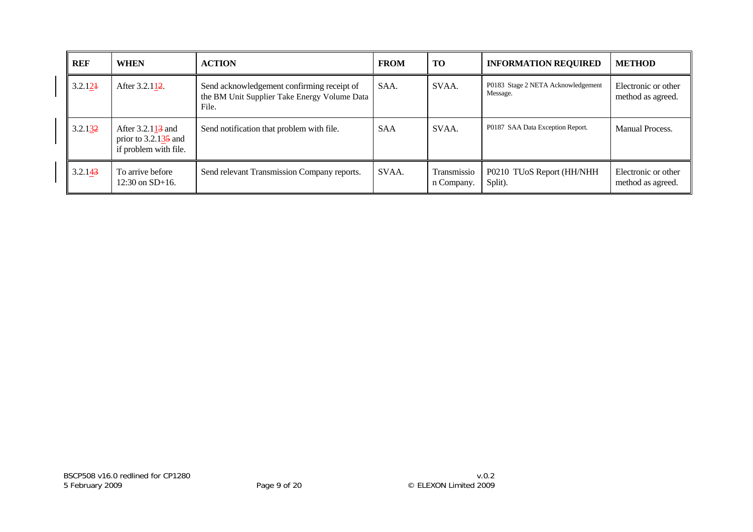| <b>REF</b> | <b>WHEN</b>                                                                       | <b>ACTION</b>                                                                                       | <b>FROM</b> | <b>TO</b>                 | <b>INFORMATION REQUIRED</b>                    | <b>METHOD</b>                            |
|------------|-----------------------------------------------------------------------------------|-----------------------------------------------------------------------------------------------------|-------------|---------------------------|------------------------------------------------|------------------------------------------|
| 3.2.124    | After 3.2.112.                                                                    | Send acknowledgement confirming receipt of<br>the BM Unit Supplier Take Energy Volume Data<br>File. | SAA.        | SVAA.                     | P0183 Stage 2 NETA Acknowledgement<br>Message. | Electronic or other<br>method as agreed. |
| 3.2.132    | After $3.2.113$ and<br>prior to $3.2.13\overline{5}$ and<br>if problem with file. | Send notification that problem with file.                                                           | <b>SAA</b>  | SVAA.                     | P0187 SAA Data Exception Report.               | <b>Manual Process.</b>                   |
| 3.2.143    | To arrive before<br>$12:30$ on $SD+16$ .                                          | Send relevant Transmission Company reports.                                                         | SVAA.       | Transmissio<br>n Company. | P0210 TUoS Report (HH/NHH<br>Split).           | Electronic or other<br>method as agreed. |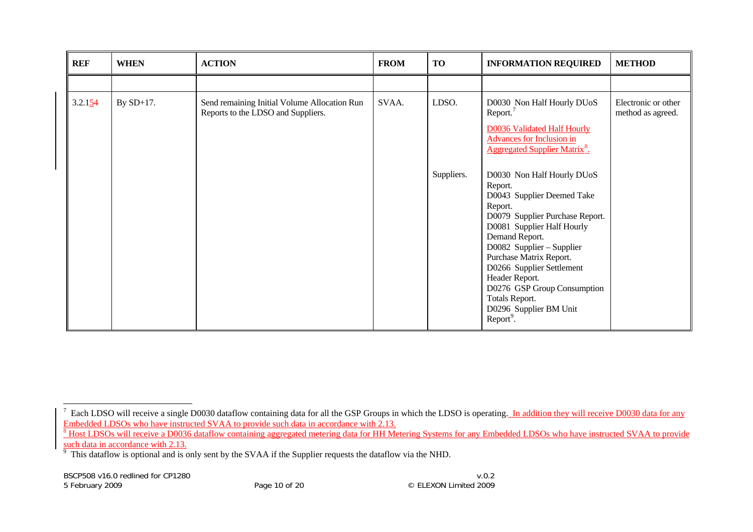| <b>REF</b> | <b>WHEN</b> | <b>ACTION</b>                                                                      | <b>FROM</b> | <b>TO</b>           | <b>INFORMATION REQUIRED</b>                                                                                                                                                                                                                                                                                                                    | <b>METHOD</b>                            |
|------------|-------------|------------------------------------------------------------------------------------|-------------|---------------------|------------------------------------------------------------------------------------------------------------------------------------------------------------------------------------------------------------------------------------------------------------------------------------------------------------------------------------------------|------------------------------------------|
|            |             |                                                                                    |             |                     |                                                                                                                                                                                                                                                                                                                                                |                                          |
| 3.2.154    | By SD+17.   | Send remaining Initial Volume Allocation Run<br>Reports to the LDSO and Suppliers. | SVAA.       | LDSO.<br>Suppliers. | D0030 Non Half Hourly DUoS<br>Report. <sup>7</sup><br><b>D0036 Validated Half Hourly</b><br>Advances for Inclusion in<br><b>Aggregated Supplier Matrix<sup>8</sup>.</b><br>D0030 Non Half Hourly DUoS                                                                                                                                          | Electronic or other<br>method as agreed. |
|            |             |                                                                                    |             |                     | Report.<br>D0043 Supplier Deemed Take<br>Report.<br>D0079 Supplier Purchase Report.<br>D0081 Supplier Half Hourly<br>Demand Report.<br>D0082 Supplier - Supplier<br>Purchase Matrix Report.<br>D0266 Supplier Settlement<br>Header Report.<br>D0276 GSP Group Consumption<br>Totals Report.<br>D0296 Supplier BM Unit<br>Report <sup>9</sup> . |                                          |

<span id="page-9-0"></span> $^7$  Each LDSO will receive a single D0030 dataflow containing data for all the GSP Groups in which the LDSO is operating. In addition they will receive D0030 data for any Embedded LDSOs who have instructed SVAA to provide such data in accordance with 2.13.

<span id="page-9-1"></span><sup>&</sup>lt;sup>8</sup> Host LDSOs will receive a D0036 dataflow containing aggregated metering data for HH Metering Systems for any Embedded LDSOs who have instructed SVAA to provide such data in accordance with 2.13.

<span id="page-9-2"></span> $9$  This dataflow is optional and is only sent by the SVAA if the Supplier requests the dataflow via the NHD.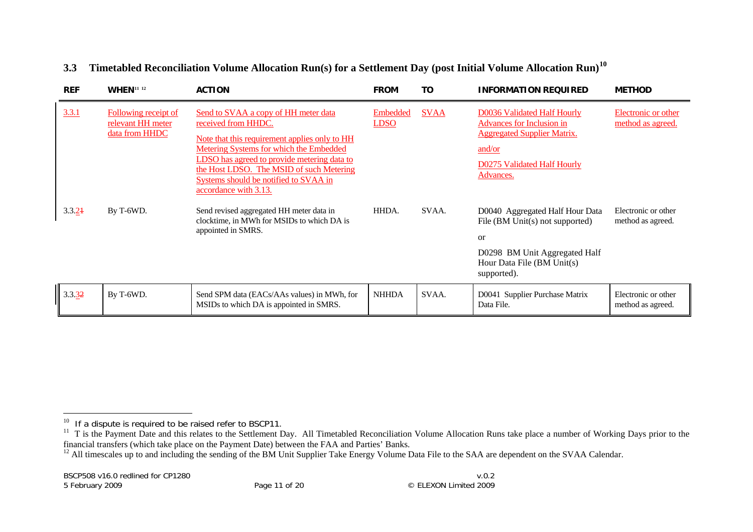#### **3.3Timetabled Reconciliation Volume Allocation Run(s) for a Settlement Day (post Initial Volume Allocation Run)[10](#page-10-0)**

| <b>REF</b> | <b>WHEN</b> <sup>11</sup> <sup>12</sup>                     | <b>ACTION</b>                                                                                                                                                                                                                                                                                                        | <b>FROM</b>             | TO          | <b>INFORMATION REQUIRED</b>                                                                                                                                   | <b>METHOD</b>                            |
|------------|-------------------------------------------------------------|----------------------------------------------------------------------------------------------------------------------------------------------------------------------------------------------------------------------------------------------------------------------------------------------------------------------|-------------------------|-------------|---------------------------------------------------------------------------------------------------------------------------------------------------------------|------------------------------------------|
| 3.3.1      | Following receipt of<br>relevant HH meter<br>data from HHDC | Send to SVAA a copy of HH meter data<br>received from HHDC.<br>Note that this requirement applies only to HH<br>Metering Systems for which the Embedded<br>LDSO has agreed to provide metering data to<br>the Host LDSO. The MSID of such Metering<br>Systems should be notified to SVAA in<br>accordance with 3.13. | Embedded<br><b>LDSO</b> | <b>SVAA</b> | D0036 Validated Half Hourly<br><b>Advances for Inclusion in</b><br><b>Aggregated Supplier Matrix.</b><br>and/or<br>D0275 Validated Half Hourly<br>Advances.   | Electronic or other<br>method as agreed. |
| 3.3.24     | By T-6WD.                                                   | Send revised aggregated HH meter data in<br>clocktime, in MWh for MSIDs to which DA is<br>appointed in SMRS.                                                                                                                                                                                                         | HHDA.                   | SVAA.       | D0040 Aggregated Half Hour Data<br>File (BM Unit(s) not supported)<br><b>or</b><br>D0298 BM Unit Aggregated Half<br>Hour Data File (BM Unit(s)<br>supported). | Electronic or other<br>method as agreed. |
| 3.3.32     | By T-6WD.                                                   | Send SPM data (EACs/AAs values) in MWh, for<br>MSIDs to which DA is appointed in SMRS.                                                                                                                                                                                                                               | <b>NHHDA</b>            | SVAA.       | D0041 Supplier Purchase Matrix<br>Data File.                                                                                                                  | Electronic or other<br>method as agreed. |

 $10$  If a dispute is required to be raised refer to BSCP11.

<span id="page-10-1"></span><span id="page-10-0"></span><sup>&</sup>lt;sup>11</sup> T is the Payment Date and this relates to the Settlement Day. All Timetabled Reconciliation Volume Allocation Runs take place a number of Working Days prior to the financial transfers (which take place on the Payment Date) between the FAA and Parties' Banks.

<span id="page-10-2"></span><sup>&</sup>lt;sup>12</sup> All timescales up to and including the sending of the BM Unit Supplier Take Energy Volume Data File to the SAA are dependent on the SVAA Calendar.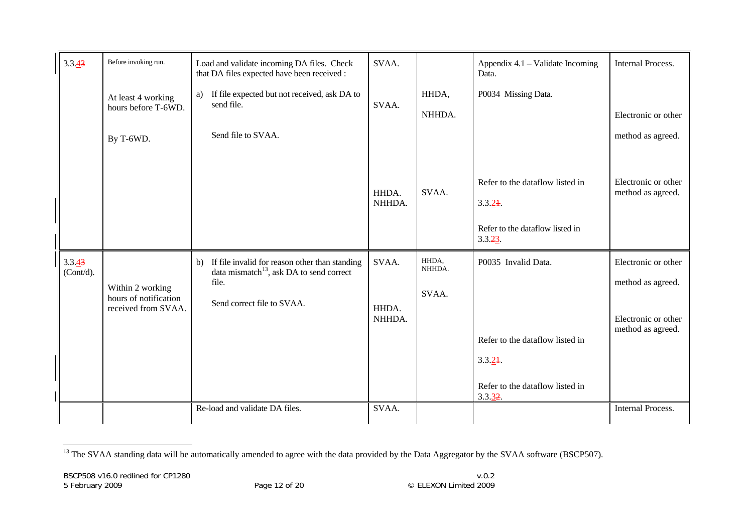| 3.3.43              | Before invoking run.                      | Load and validate incoming DA files. Check<br>that DA files expected have been received :                              | SVAA.           |                 | Appendix 4.1 – Validate Incoming<br>Data.  | <b>Internal Process.</b>                 |
|---------------------|-------------------------------------------|------------------------------------------------------------------------------------------------------------------------|-----------------|-----------------|--------------------------------------------|------------------------------------------|
|                     | At least 4 working                        | a) If file expected but not received, ask DA to                                                                        |                 | HHDA,           | P0034 Missing Data.                        |                                          |
|                     | hours before T-6WD.                       | send file.                                                                                                             | SVAA.           | NHHDA.          |                                            | Electronic or other                      |
|                     | By T-6WD.                                 | Send file to SVAA.                                                                                                     |                 |                 |                                            | method as agreed.                        |
|                     |                                           |                                                                                                                        | HHDA.           | SVAA.           | Refer to the dataflow listed in            | Electronic or other<br>method as agreed. |
|                     |                                           |                                                                                                                        | NHHDA.          |                 | 3.3.24                                     |                                          |
|                     |                                           |                                                                                                                        |                 |                 | Refer to the dataflow listed in<br>3.3.23  |                                          |
| 3.3.43<br>(Cont/d). |                                           | If file invalid for reason other than standing<br>$\mathbf{b}$<br>data mismatch <sup>13</sup> , ask DA to send correct | SVAA.           | HHDA,<br>NHHDA. | P0035 Invalid Data.                        | Electronic or other                      |
|                     | Within 2 working<br>hours of notification | file.<br>Send correct file to SVAA.                                                                                    |                 | SVAA.           |                                            | method as agreed.                        |
|                     | received from SVAA.                       |                                                                                                                        | HHDA.<br>NHHDA. |                 |                                            | Electronic or other<br>method as agreed. |
|                     |                                           |                                                                                                                        |                 |                 | Refer to the dataflow listed in            |                                          |
|                     |                                           |                                                                                                                        |                 |                 | 3.3.24                                     |                                          |
|                     |                                           |                                                                                                                        |                 |                 | Refer to the dataflow listed in<br>3.3.32. |                                          |
|                     |                                           | Re-load and validate DA files.                                                                                         | SVAA.           |                 |                                            | <b>Internal Process.</b>                 |

<span id="page-11-0"></span><sup>&</sup>lt;sup>13</sup> The SVAA standing data will be automatically amended to agree with the data provided by the Data Aggregator by the SVAA software (BSCP507).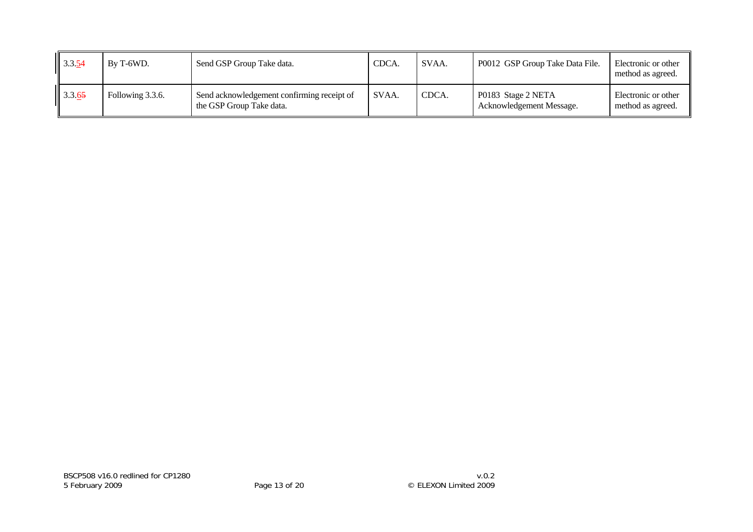| $\  3.3.54$ | By T-6WD.        | Send GSP Group Take data.                                              | CDCA. | SVAA. | P0012 GSP Group Take Data File.                | Electronic or other<br>method as agreed. |
|-------------|------------------|------------------------------------------------------------------------|-------|-------|------------------------------------------------|------------------------------------------|
| 3.3.65      | Following 3.3.6. | Send acknowledgement confirming receipt of<br>the GSP Group Take data. | SVAA. | CDCA. | P0183 Stage 2 NETA<br>Acknowledgement Message. | Electronic or other<br>method as agreed. |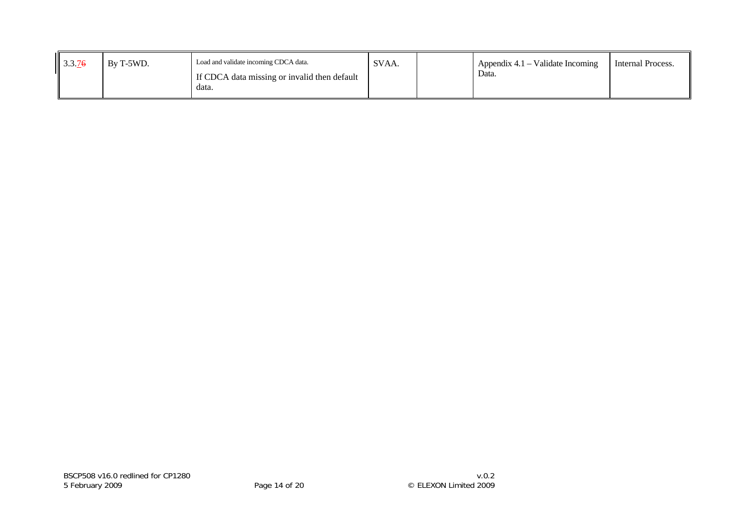| $\frac{3.3.76}{ }$<br>Load and validate incoming CDCA data.<br>By T-5WD.<br>If CDCA data missing or invalid then default<br>data. | SVAA. | Appendix $4.1$ – Validate Incoming<br>Internal Process.<br>Data. |  |
|-----------------------------------------------------------------------------------------------------------------------------------|-------|------------------------------------------------------------------|--|
|-----------------------------------------------------------------------------------------------------------------------------------|-------|------------------------------------------------------------------|--|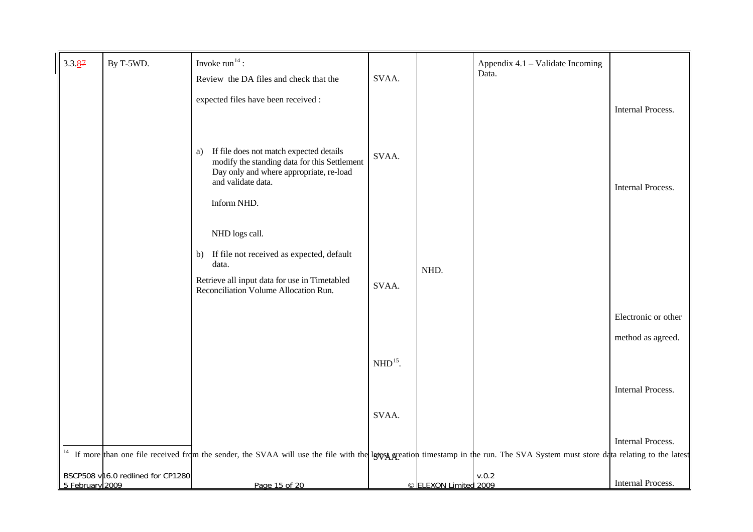<span id="page-14-1"></span><span id="page-14-0"></span>

| $3.3.\underline{87}$ | By T-5WD.                         | Invoke $run14$ :                                                                                                                                                                                            |           |                       | Appendix 4.1 – Validate Incoming |                     |
|----------------------|-----------------------------------|-------------------------------------------------------------------------------------------------------------------------------------------------------------------------------------------------------------|-----------|-----------------------|----------------------------------|---------------------|
|                      |                                   | Review the DA files and check that the                                                                                                                                                                      | SVAA.     |                       | Data.                            |                     |
|                      |                                   | expected files have been received :                                                                                                                                                                         |           |                       |                                  |                     |
|                      |                                   |                                                                                                                                                                                                             |           |                       |                                  | Internal Process.   |
|                      |                                   |                                                                                                                                                                                                             |           |                       |                                  |                     |
|                      |                                   | If file does not match expected details<br>a)<br>modify the standing data for this Settlement<br>Day only and where appropriate, re-load<br>and validate data.                                              | SVAA.     |                       |                                  | Internal Process.   |
|                      |                                   | Inform NHD.                                                                                                                                                                                                 |           |                       |                                  |                     |
|                      |                                   | NHD logs call.                                                                                                                                                                                              |           |                       |                                  |                     |
|                      |                                   | b) If file not received as expected, default                                                                                                                                                                |           |                       |                                  |                     |
|                      |                                   | data.                                                                                                                                                                                                       |           | NHD.                  |                                  |                     |
|                      |                                   | Retrieve all input data for use in Timetabled<br>Reconciliation Volume Allocation Run.                                                                                                                      | SVAA.     |                       |                                  |                     |
|                      |                                   |                                                                                                                                                                                                             |           |                       |                                  | Electronic or other |
|                      |                                   |                                                                                                                                                                                                             |           |                       |                                  | method as agreed.   |
|                      |                                   |                                                                                                                                                                                                             | $NHD15$ . |                       |                                  |                     |
|                      |                                   |                                                                                                                                                                                                             |           |                       |                                  |                     |
|                      |                                   |                                                                                                                                                                                                             |           |                       |                                  | Internal Process.   |
|                      |                                   |                                                                                                                                                                                                             | SVAA.     |                       |                                  |                     |
|                      |                                   |                                                                                                                                                                                                             |           |                       |                                  | Internal Process.   |
| 14                   |                                   | If more than one file received from the sender, the SVAA will use the file with the let use the file with the let use a sequely timestamp in the run. The SVA System must store data relating to the latest |           |                       |                                  |                     |
| 5 February 2009      | BSCP508 v16.0 redlined for CP1280 | Page 15 of 20                                                                                                                                                                                               |           | © ELEXON Limited 2009 | v.0.2                            | Internal Process.   |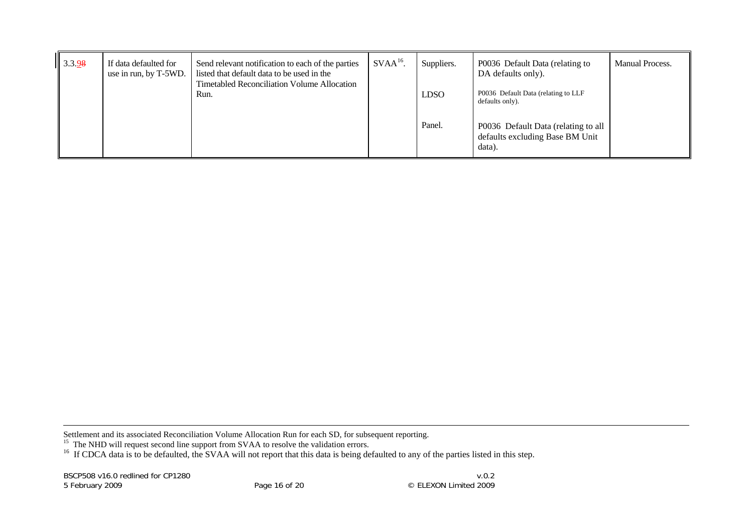| $\parallel$ 3.3.98 | If data defaulted for<br>use in run, by T-5WD. | Send relevant notification to each of the parties<br>listed that default data to be used in the<br><b>Timetabled Reconciliation Volume Allocation</b> | $SVAA16$ . | Suppliers.  | P0036 Default Data (relating to<br>DA defaults only).                            | Manual Process. |
|--------------------|------------------------------------------------|-------------------------------------------------------------------------------------------------------------------------------------------------------|------------|-------------|----------------------------------------------------------------------------------|-----------------|
|                    |                                                | Run.                                                                                                                                                  |            | <b>LDSO</b> | P0036 Default Data (relating to LLF<br>defaults only).                           |                 |
|                    |                                                |                                                                                                                                                       |            | Panel.      | P0036 Default Data (relating to all<br>defaults excluding Base BM Unit<br>data). |                 |

Settlement and its associated Reconciliation Volume Allocation Run for each SD, for subsequent reporting.

<span id="page-15-0"></span><sup>15</sup> The NHD will request second line support from SVAA to resolve the validation errors.

<sup>16</sup> If CDCA data is to be defaulted, the SVAA will not report that this data is being defaulted to any of the parties listed in this step.

BSCP508 v16.0 redlined for CP1280 5 February 2009 Page 16 of 20 © ELEXON Limited 2009

 $v.0.2$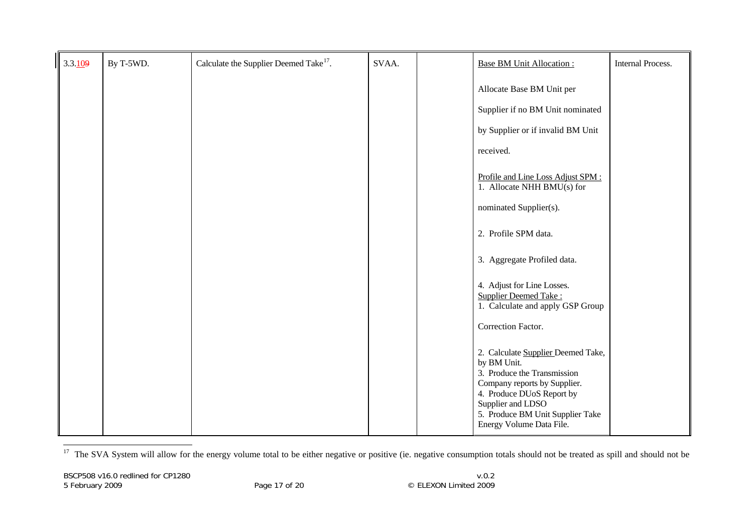| 3.3.109 | By T-5WD. | Calculate the Supplier Deemed Take <sup>17</sup> . | SVAA. | <b>Base BM Unit Allocation:</b>                                                                                                                                                                                                    | <b>Internal Process.</b> |
|---------|-----------|----------------------------------------------------|-------|------------------------------------------------------------------------------------------------------------------------------------------------------------------------------------------------------------------------------------|--------------------------|
|         |           |                                                    |       | Allocate Base BM Unit per                                                                                                                                                                                                          |                          |
|         |           |                                                    |       | Supplier if no BM Unit nominated                                                                                                                                                                                                   |                          |
|         |           |                                                    |       | by Supplier or if invalid BM Unit                                                                                                                                                                                                  |                          |
|         |           |                                                    |       | received.                                                                                                                                                                                                                          |                          |
|         |           |                                                    |       | Profile and Line Loss Adjust SPM:<br>1. Allocate NHH BMU(s) for                                                                                                                                                                    |                          |
|         |           |                                                    |       | nominated Supplier(s).                                                                                                                                                                                                             |                          |
|         |           |                                                    |       | 2. Profile SPM data.                                                                                                                                                                                                               |                          |
|         |           |                                                    |       | 3. Aggregate Profiled data.                                                                                                                                                                                                        |                          |
|         |           |                                                    |       | 4. Adjust for Line Losses.<br><b>Supplier Deemed Take:</b><br>1. Calculate and apply GSP Group                                                                                                                                     |                          |
|         |           |                                                    |       | Correction Factor.                                                                                                                                                                                                                 |                          |
|         |           |                                                    |       | 2. Calculate Supplier Deemed Take,<br>by BM Unit.<br>3. Produce the Transmission<br>Company reports by Supplier.<br>4. Produce DUoS Report by<br>Supplier and LDSO<br>5. Produce BM Unit Supplier Take<br>Energy Volume Data File. |                          |

<span id="page-16-0"></span><sup>17</sup> The SVA System will allow for the energy volume total to be either negative or positive (ie. negative consumption totals should not be treated as spill and should not be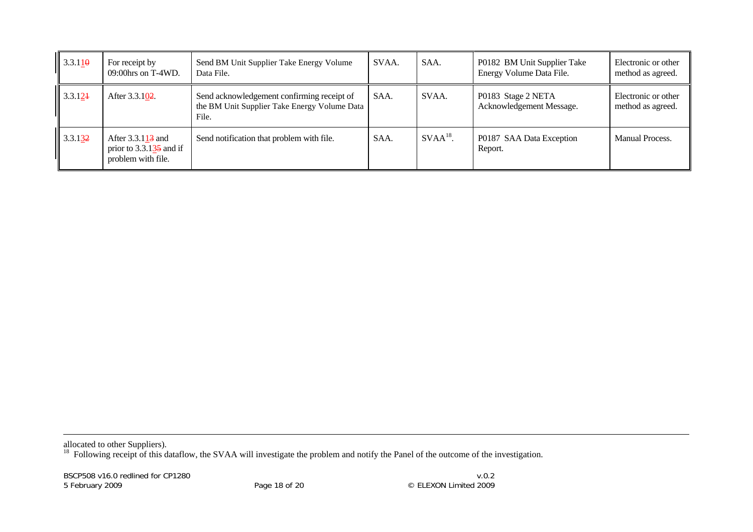| $\  3.3.11\theta$   | For receipt by<br>$09:00$ hrs on T-4WD.                                           | Send BM Unit Supplier Take Energy Volume<br>Data File.                                              | SVAA. | SAA.       | P0182 BM Unit Supplier Take<br>Energy Volume Data File. | Electronic or other<br>method as agreed. |
|---------------------|-----------------------------------------------------------------------------------|-----------------------------------------------------------------------------------------------------|-------|------------|---------------------------------------------------------|------------------------------------------|
| 3.3.124             | After 3.3.102.                                                                    | Send acknowledgement confirming receipt of<br>the BM Unit Supplier Take Energy Volume Data<br>File. | SAA.  | SVAA.      | P0183 Stage 2 NETA<br>Acknowledgement Message.          | Electronic or other<br>method as agreed. |
| $\parallel$ 3.3.132 | After $3.3.113$ and<br>prior to $3.3.1\overline{35}$ and if<br>problem with file. | Send notification that problem with file.                                                           | SAA.  | $SVAA18$ . | P0187 SAA Data Exception<br>Report.                     | Manual Process.                          |

allocated to other Suppliers).

<span id="page-17-0"></span><sup>18</sup> Following receipt of this dataflow, the SVAA will investigate the problem and notify the Panel of the outcome of the investigation.

BSCP508 v16.0 redlined for CP1280 5 February 2009 Page 18 of 20 © ELEXON Limited 2009

 $v.0.2$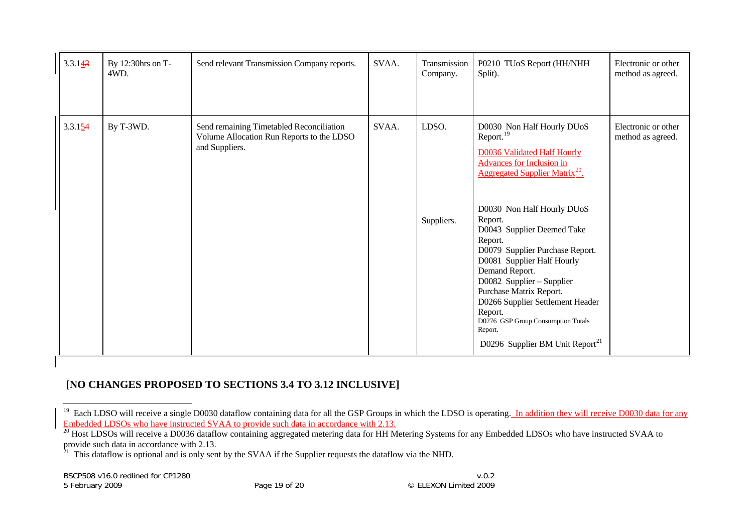| 3.3.143 | By 12:30hrs on T-<br>4WD. | Send relevant Transmission Company reports.                                                             | SVAA. | Transmission<br>Company. | P0210 TUoS Report (HH/NHH<br>Split).                                                                                                                                                                                                                                                                                                                                                                                                                                                                                                                         | Electronic or other<br>method as agreed. |
|---------|---------------------------|---------------------------------------------------------------------------------------------------------|-------|--------------------------|--------------------------------------------------------------------------------------------------------------------------------------------------------------------------------------------------------------------------------------------------------------------------------------------------------------------------------------------------------------------------------------------------------------------------------------------------------------------------------------------------------------------------------------------------------------|------------------------------------------|
| 3.3.154 | By T-3WD.                 | Send remaining Timetabled Reconciliation<br>Volume Allocation Run Reports to the LDSO<br>and Suppliers. | SVAA. | LDSO.<br>Suppliers.      | D0030 Non Half Hourly DUoS<br>Report. <sup>19</sup><br><b>D0036 Validated Half Hourly</b><br><b>Advances for Inclusion in</b><br><b>Aggregated Supplier Matrix<sup>20</sup>.</b><br>D0030 Non Half Hourly DUoS<br>Report.<br>D0043 Supplier Deemed Take<br>Report.<br>D0079 Supplier Purchase Report.<br>D0081 Supplier Half Hourly<br>Demand Report.<br>D0082 Supplier - Supplier<br>Purchase Matrix Report.<br>D0266 Supplier Settlement Header<br>Report.<br>D0276 GSP Group Consumption Totals<br>Report.<br>D0296 Supplier BM Unit Report <sup>21</sup> | Electronic or other<br>method as agreed. |

# **[NO CHANGES PROPOSED TO SECTIONS 3.4 TO 3.12 INCLUSIVE]**

<span id="page-18-0"></span><sup>&</sup>lt;sup>19</sup> Each LDSO will receive a single D0030 dataflow containing data for all the GSP Groups in which the LDSO is operating. In addition they will receive D0030 data for any Embedded LDSOs who have instructed SVAA to provide such data in accordance with 2.13.

<span id="page-18-1"></span><sup>&</sup>lt;sup>20</sup> Host LDSOs will receive a D0036 dataflow containing aggregated metering data for HH Metering Systems for any Embedded LDSOs who have instructed SVAA to provide such data in accordance with 2.13.

<span id="page-18-2"></span> $21$  This dataflow is optional and is only sent by the SVAA if the Supplier requests the dataflow via the NHD.